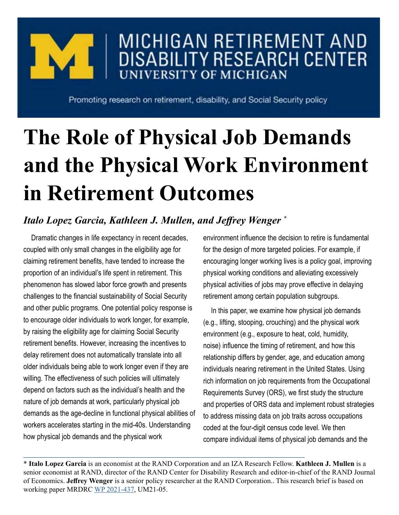## MICHIGAN RETIREMENT AND **DISABILITY RESEARCH CENTER UNIVERSITY OF MICHIGAN**

Promoting research on retirement, disability, and Social Security policy

# **The Role of Physical Job Demands and the Physical Work Environment in Retirement Outcomes**

### *Italo Lopez Garcia, Kathleen J. Mullen, and Jeffrey Wenger \**

Dramatic changes in life expectancy in recent decades, coupled with only small changes in the eligibility age for claiming retirement benefits, have tended to increase the proportion of an individual's life spent in retirement. This phenomenon has slowed labor force growth and presents challenges to the financial sustainability of Social Security and other public programs. One potential policy response is to encourage older individuals to work longer, for example, by raising the eligibility age for claiming Social Security retirement benefits. However, increasing the incentives to delay retirement does not automatically translate into all older individuals being able to work longer even if they are willing. The effectiveness of such policies will ultimately depend on factors such as the individual's health and the nature of job demands at work, particularly physical job demands as the age-decline in functional physical abilities of workers accelerates starting in the mid-40s. Understanding how physical job demands and the physical work

environment influence the decision to retire is fundamental for the design of more targeted policies. For example, if encouraging longer working lives is a policy goal, improving physical working conditions and alleviating excessively physical activities of jobs may prove effective in delaying retirement among certain population subgroups.

In this paper, we examine how physical job demands (e.g., lifting, stooping, crouching) and the physical work environment (e.g., exposure to heat, cold, humidity, noise) influence the timing of retirement, and how this relationship differs by gender, age, and education among individuals nearing retirement in the United States. Using rich information on job requirements from the Occupational Requirements Survey (ORS), we first study the structure and properties of ORS data and implement robust strategies to address missing data on job traits across occupations coded at the four-digit census code level. We then compare individual items of physical job demands and the

\* **Italo Lopez Garcia** is an economist at the RAND Corporation and an IZA Research Fellow. **Kathleen J. Mullen** is a senior economist at RAND, director of the RAND Center for Disability Research and editor-in-chief of the RAND Journal of Economics. **Jeffrey Wenger** is a senior policy researcher at the RAND Corporation.. This research brief is based on working paper MRDRC [WP 2021-437,](https://mrdrc.isr.umich.edu/pubs/the-role-of-physical-job-demands-and-the-physical-work-environment-in-retirement-outcomes/) UM21-05.